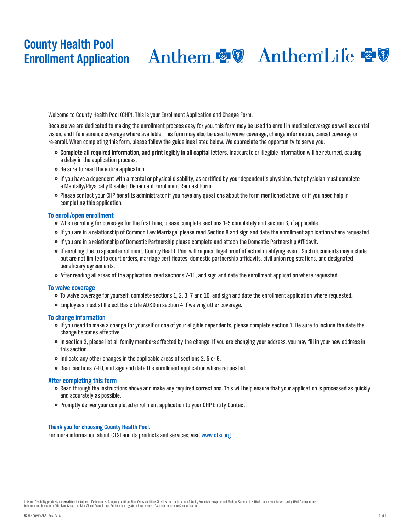# **County Health Pool**  Enrollment Application Anthem **& W** Anthem Life **& W**

Welcome to County Health Pool (CHP). This is your Enrollment Application and Change Form.

Because we are dedicated to making the enrollment process easy for you, this form may be used to enroll in medical coverage as well as dental, vision, and life insurance coverage where available. This form may also be used to waive coverage, change information, cancel coverage or re‑enroll. When completing this form, please follow the guidelines listed below. We appreciate the opportunity to serve you.

- £ **Complete all required information, and print legibly in all capital letters.** Inaccurate or illegible information will be returned, causing a delay in the application process.
- Be sure to read the entire application.
- If you have a dependent with a mental or physical disability, as certified by your dependent's physician, that physician must complete a Mentally/Physically Disabled Dependent Enrollment Request Form.
- £ Please contact your CHP benefits administrator if you have any questions about the form mentioned above, or if you need help in completing this application.

#### **To enroll/open enrollment**

- When enrolling for coverage for the first time, please complete sections 1-5 completely and section 6, if applicable.
- £ If you are in a relationship of Common Law Marriage, please read Section 8 and sign and date the enrollment application where requested.
- £ If you are in a relationship of Domestic Partnership please complete and attach the Domestic Partnership Affidavit.
- £ If enrolling due to special enrollment, County Health Pool will request legal proof of actual qualifying event. Such documents may include but are not limited to court orders, marriage certificates, domestic partnership affidavits, civil union registrations, and designated beneficiary agreements.
- After reading all areas of the application, read sections 7-10, and sign and date the enrollment application where requested.

#### **To waive coverage**

- £ To waive coverage for yourself, complete sections 1, 2, 3, 7 and 10, and sign and date the enrollment application where requested.
- £ Employees must still elect Basic Life AD&D in section 4 if waiving other coverage.

## **To change information**

- £ If you need to make a change for yourself or one of your eligible dependents, please complete section 1. Be sure to include the date the change becomes effective.
- £ In section 3, please list all family members affected by the change. If you are changing your address, you may fill in your new address in this section.
- Indicate any other changes in the applicable areas of sections 2, 5 or 6.
- Read sections 7-10, and sign and date the enrollment application where requested.

## **After completing this form**

- Read through the instructions above and make any required corrections. This will help ensure that your application is processed as quickly and accurately as possible.
- Promptly deliver your completed enrollment application to your CHP Entity Contact.

#### **Thank you for choosing County Health Pool.**

For more information about CTSI and its products and services, visit www.ctsi.org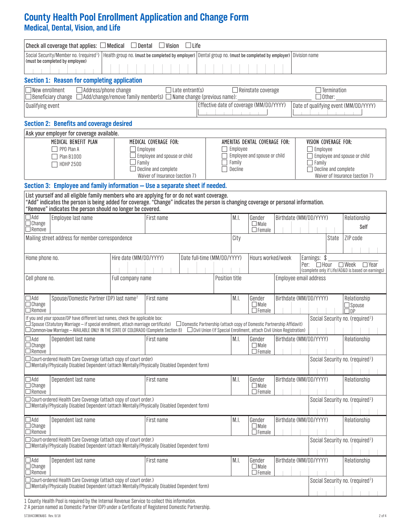# **County Health Pool Enrollment Application and Change Form Medical, Dental, Vision, and Life**

| Check all coverage that applies: $\Box$ Medical<br>$\Box$ Dental<br>$\Box$ Vision<br>$\Box$ Life                                                                                                                                                                                                 |                        |                                          |                        |  |                             |          |                                                              |  |                             |                                                 |                    |                                                                                 |
|--------------------------------------------------------------------------------------------------------------------------------------------------------------------------------------------------------------------------------------------------------------------------------------------------|------------------------|------------------------------------------|------------------------|--|-----------------------------|----------|--------------------------------------------------------------|--|-----------------------------|-------------------------------------------------|--------------------|---------------------------------------------------------------------------------|
| Social Security/Member no. (required <sup>1</sup> )<br>Health group no. (must be completed by employer) Dental group no. (must be completed by employer) Division name<br>(must be completed by employee)                                                                                        |                        |                                          |                        |  |                             |          |                                                              |  |                             |                                                 |                    |                                                                                 |
|                                                                                                                                                                                                                                                                                                  |                        |                                          |                        |  |                             |          |                                                              |  |                             |                                                 |                    |                                                                                 |
| <b>Section 1: Reason for completing application</b>                                                                                                                                                                                                                                              |                        |                                          |                        |  |                             |          |                                                              |  |                             |                                                 |                    |                                                                                 |
| New enrollment<br>$\Box$ Address/phone change<br>$\Box$ Add/change/remove family member(s) $\Box$ Name change (previous name):<br>Beneficiary change                                                                                                                                             |                        |                                          | $\Box$ Late entrant(s) |  |                             |          | $\Box$ Reinstate coverage                                    |  |                             | $\Box$ Other:                                   | $\Box$ Termination |                                                                                 |
| Qualifying event                                                                                                                                                                                                                                                                                 |                        |                                          |                        |  | $\mathbb{R}^n$              |          | Effective date of coverage (MM/DD/YYYY)<br>and the first the |  |                             |                                                 |                    | Date of qualifying event (MM/DD/YYYY)                                           |
| <b>Section 2: Benefits and coverage desired</b>                                                                                                                                                                                                                                                  |                        |                                          |                        |  |                             |          |                                                              |  |                             |                                                 |                    |                                                                                 |
| Ask your employer for coverage available.                                                                                                                                                                                                                                                        |                        |                                          |                        |  |                             |          |                                                              |  |                             |                                                 |                    |                                                                                 |
| MEDICAL BENEFIT PLAN                                                                                                                                                                                                                                                                             |                        | MEDICAL COVERAGE FOR:                    |                        |  |                             |          | AMERITAS DENTAL COVERAGE FOR:                                |  |                             | VISION COVERAGE FOR:                            |                    |                                                                                 |
| $\Box$ PPO Plan A                                                                                                                                                                                                                                                                                |                        | Employee<br>Employee and spouse or child |                        |  |                             | Employee | Employee and spouse or child                                 |  |                             | $\Box$ Employee<br>Employee and spouse or child |                    |                                                                                 |
| $\Box$ Plan B1000<br>$\Box$ HDHP 2500                                                                                                                                                                                                                                                            | Family                 |                                          |                        |  |                             | Family   |                                                              |  |                             | $\Box$ Family                                   |                    |                                                                                 |
|                                                                                                                                                                                                                                                                                                  |                        | Decline and complete                     |                        |  |                             | Decline  |                                                              |  | $\Box$ Decline and complete |                                                 |                    |                                                                                 |
|                                                                                                                                                                                                                                                                                                  |                        | Waiver of Insurance (section 7)          |                        |  |                             |          |                                                              |  |                             |                                                 |                    | Waiver of Insurance (section 7)                                                 |
| Section 3: Employee and family information - Use a separate sheet if needed.                                                                                                                                                                                                                     |                        |                                          |                        |  |                             |          |                                                              |  |                             |                                                 |                    |                                                                                 |
| List yourself and all eligible family members who are applying for or do not want coverage.<br>"Add" indicates the person is being added for coverage. "Change" indicates the person is changing coverage or personal information.<br>"Remove" indicates the person should no longer be covered. |                        |                                          |                        |  |                             |          |                                                              |  |                             |                                                 |                    |                                                                                 |
| $\Box$ Add<br>Employee last name                                                                                                                                                                                                                                                                 |                        | First name                               |                        |  |                             | M.I.     | Gender                                                       |  |                             | Birthdate (MM/DD/YYYY)                          |                    | Relationship                                                                    |
| $\Box$ Change<br>$\Box$ Remove                                                                                                                                                                                                                                                                   |                        |                                          |                        |  |                             |          | $\Box$ Male<br>$\Box$ Female                                 |  |                             |                                                 |                    | Self                                                                            |
| Mailing street address for member correspondence                                                                                                                                                                                                                                                 |                        |                                          |                        |  |                             | City     |                                                              |  |                             |                                                 | State              | ZIP code                                                                        |
|                                                                                                                                                                                                                                                                                                  |                        |                                          |                        |  |                             |          |                                                              |  |                             |                                                 |                    |                                                                                 |
| Home phone no.                                                                                                                                                                                                                                                                                   | Hire date (MM/DD/YYYY) |                                          |                        |  | Date full-time (MM/DD/YYYY) |          | Hours worked/week                                            |  |                             | Earnings: \$                                    |                    |                                                                                 |
|                                                                                                                                                                                                                                                                                                  |                        |                                          |                        |  |                             |          |                                                              |  |                             | $Per: \Box$ Hour                                |                    | $\Box$ Week<br>$\Box$ Year<br>(complete only if Life/AD&D is based on earnings) |
| Cell phone no.<br>Position title<br>Employee email address<br>Full company name                                                                                                                                                                                                                  |                        |                                          |                        |  |                             |          |                                                              |  |                             |                                                 |                    |                                                                                 |
| $\Box$ Add                                                                                                                                                                                                                                                                                       |                        |                                          |                        |  |                             |          |                                                              |  |                             |                                                 |                    |                                                                                 |
| Spouse/Domestic Partner (DP) last name <sup>2</sup><br>$\Box$ Change<br>$\Box$ Remove                                                                                                                                                                                                            |                        | First name                               |                        |  |                             | M.I.     | Gender<br>$\Box$ Male<br>$\Box$ Female                       |  |                             | Birthdate (MM/DD/YYYY)                          |                    | Relationship<br>$\Box$ Spouse<br>$\Box$ np                                      |
| If you and your spouse/DP have different last names, check the applicable box:<br>Social Security no. (required <sup>1</sup> )<br>□ Spouse (Statutory Marriage – if special enrollment, attach marriage certificate) □ Domestic Partnership (attach copy of Domestic Partnership Affidavit)      |                        |                                          |                        |  |                             |          |                                                              |  |                             |                                                 |                    |                                                                                 |
| □ Common-law Marriage - AVAILABLE ONLY IN THE STATE OF COLORADO (Complete Section 8) □ Civil Union (If Special Enrollment, attach Civil Union Registration)                                                                                                                                      |                        |                                          |                        |  |                             |          |                                                              |  |                             |                                                 |                    |                                                                                 |
| <b>Add</b> Dependent last name<br>$\Box$ Change                                                                                                                                                                                                                                                  |                        | First name                               |                        |  |                             |          | M.I. Gender Birthdate (MM/DD/YYYY)<br>$\Box$ Male            |  |                             |                                                 |                    | Relationship                                                                    |
| $\Box$ Remove                                                                                                                                                                                                                                                                                    |                        |                                          |                        |  |                             |          | $\Box$ Female                                                |  |                             |                                                 |                    |                                                                                 |
| Court-ordered Health Care Coverage (attach copy of court order)<br>Social Security no. (required <sup>1</sup> )<br>□ Mentally/Physically Disabled Dependent (attach Mentally/Physically Disabled Dependent form)                                                                                 |                        |                                          |                        |  |                             |          |                                                              |  |                             |                                                 |                    |                                                                                 |
| $\Box$ Add<br>Dependent last name                                                                                                                                                                                                                                                                |                        | First name                               |                        |  |                             | M.I.     | Gender                                                       |  |                             | Birthdate (MM/DD/YYYY)                          |                    | Relationship                                                                    |
| $\Box$ Change<br>$\Box$ Remove                                                                                                                                                                                                                                                                   |                        |                                          |                        |  |                             |          | $\Box$ Male<br>$\Box$ Female                                 |  |                             |                                                 |                    |                                                                                 |
| Court-ordered Health Care Coverage (attach copy of court order.)<br>Social Security no. (required <sup>1</sup> )<br>□ Mentally/Physically Disabled Dependent (attach Mentally/Physically Disabled Dependent form)                                                                                |                        |                                          |                        |  |                             |          |                                                              |  |                             |                                                 |                    |                                                                                 |
|                                                                                                                                                                                                                                                                                                  |                        |                                          |                        |  |                             |          |                                                              |  |                             |                                                 |                    |                                                                                 |
| $\Box$ Add<br>Dependent last name<br>$\Box$ Change                                                                                                                                                                                                                                               |                        | First name                               |                        |  |                             | M.I.     | Gender<br>$\Box$ Male                                        |  |                             | Birthdate (MM/DD/YYYY)                          |                    | Relationship                                                                    |
| $\Box$ Remove<br>$\Box$ Female<br>□ Court-ordered Health Care Coverage (attach copy of court order.)<br>Social Security no. (required <sup>1</sup> )                                                                                                                                             |                        |                                          |                        |  |                             |          |                                                              |  |                             |                                                 |                    |                                                                                 |
| □ Mentally/Physically Disabled Dependent (attach Mentally/Physically Disabled Dependent form)                                                                                                                                                                                                    |                        |                                          |                        |  |                             |          |                                                              |  |                             |                                                 |                    |                                                                                 |
| $\Box$ Add<br>Birthdate (MM/DD/YYYY)<br>Dependent last name<br>M.I.<br>Relationship<br>First name<br>Gender                                                                                                                                                                                      |                        |                                          |                        |  |                             |          |                                                              |  |                             |                                                 |                    |                                                                                 |
| $\Box$ Change<br>$\Box$ Remove                                                                                                                                                                                                                                                                   |                        |                                          |                        |  |                             |          | $\Box$ Male<br>$\Box$ Female                                 |  |                             |                                                 |                    |                                                                                 |
| □ Court-ordered Health Care Coverage (attach copy of court order.)                                                                                                                                                                                                                               |                        |                                          |                        |  |                             |          |                                                              |  |                             |                                                 |                    | Social Security no. (required <sup>1</sup> )                                    |
| $\Box$ Mentally/Physically Disabled Dependent (attach Mentally/Physically Disabled Dependent form)                                                                                                                                                                                               |                        |                                          |                        |  |                             |          |                                                              |  |                             |                                                 |                    |                                                                                 |

1 County Health Pool is required by the Internal Revenue Service to collect this information.

2 A person named as Domestic Partner (DP) under a Certificate of Registered Domestic Partnership.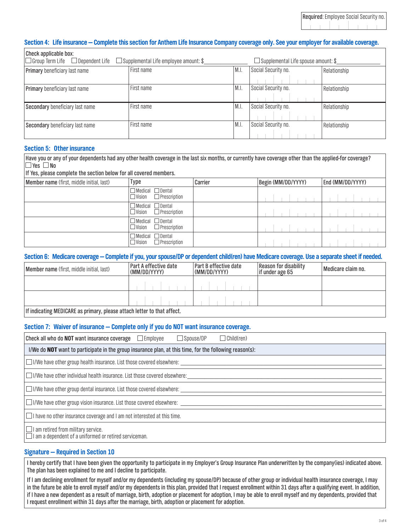# **Section 4: Life insurance — Complete this section for Anthem Life Insurance Company coverage only. See your employer for available coverage.**

| Check applicable box:                           |                                                                                            |       |                     |              |  |
|-------------------------------------------------|--------------------------------------------------------------------------------------------|-------|---------------------|--------------|--|
| $\Box$ Group Term Life<br>$\Box$ Dependent Life | $\Box$ Supplemental Life employee amount: \$<br>$\Box$ Supplemental Life spouse amount: \$ |       |                     |              |  |
| Primary beneficiary last name                   | First name                                                                                 | IM.I. | Social Security no. | Relationship |  |
|                                                 |                                                                                            |       |                     |              |  |
| Primary beneficiary last name                   | First name                                                                                 | IM.I. | Social Security no. | Relationship |  |
|                                                 |                                                                                            |       |                     |              |  |
| Secondary beneficiary last name                 | First name                                                                                 | M.I.  | Social Security no. | Relationship |  |
|                                                 |                                                                                            |       |                     |              |  |
| Secondary beneficiary last name                 | First name                                                                                 | M.I.  | Social Security no. | Relationship |  |
|                                                 |                                                                                            |       |                     |              |  |

# **Section 5: Other insurance**

Have you or any of your dependents had any other health coverage in the last six months, or currently have coverage other than the applied-for coverage?  $\square$  Yes  $\square$  No

If Yes, please complete the section below for all covered members.

| Member name (first, middle initial, last) | <b>Type</b>                                                          | Carrier | Begin (MM/DD/YYYY) | End (MM/DD/YYYY) |
|-------------------------------------------|----------------------------------------------------------------------|---------|--------------------|------------------|
|                                           | $\Box$ Medical $\Box$ Dental<br>$\Box$ Prescription<br>$\Box$ Vision |         |                    |                  |
|                                           | $\Box$ Medical $\Box$ Dental<br>$\Box$ Prescription<br>$\Box$ Vision |         |                    |                  |
|                                           | $\Box$ Medical $\Box$ Dental<br>$\Box$ Prescription<br>$\Box$ Vision |         |                    |                  |
|                                           | $\Box$ Medical $\Box$ Dental<br>$\Box$ Prescription<br>$\Box$ Vision |         |                    |                  |

# **Section 6: Medicare coverage — Complete if you, your spouse/DP or dependent child(ren) have Medicare coverage. Use a separate sheet if needed.**

| -                                                                     |                                              |                                       |                                           |                    |
|-----------------------------------------------------------------------|----------------------------------------------|---------------------------------------|-------------------------------------------|--------------------|
| <b>Member name</b> (first, middle initial, last)                      | <b>Part A effective date</b><br>(MM/DD/YYYY) | Part B effective date<br>(MM/DD/YYYY) | Reason for disability<br>lif under age 65 | Medicare claim no. |
|                                                                       |                                              |                                       |                                           |                    |
|                                                                       |                                              |                                       |                                           |                    |
| If indicating MEDICARE as primary please attach letter to that affect |                                              |                                       |                                           |                    |

If indicating MEDICARE as primary, please attach letter to that affect.

# **Section 7: Waiver of insurance — Complete only if you do NOT want insurance coverage.**

| $\Box$ Spouse/DP<br>$\Box$ Child(ren)<br>Check all who do NOT want insurance coverage<br>$\Box$ Employee    |  |  |  |  |  |  |
|-------------------------------------------------------------------------------------------------------------|--|--|--|--|--|--|
| I/We do NOT want to participate in the group insurance plan, at this time, for the following reason(s):     |  |  |  |  |  |  |
| $\Box$ I/We have other group health insurance. List those covered elsewhere:                                |  |  |  |  |  |  |
| $\Box$ I/We have other individual health insurance. List those covered elsewhere:                           |  |  |  |  |  |  |
| $\Box$ I/We have other group dental insurance. List those covered elsewhere:                                |  |  |  |  |  |  |
| $\Box$ I/We have other group vision insurance. List those covered elsewhere:                                |  |  |  |  |  |  |
| $\Box$ I have no other insurance coverage and I am not interested at this time.                             |  |  |  |  |  |  |
| $\Box$ I am retired from military service.<br>$\Box$ I am a dependent of a uniformed or retired serviceman. |  |  |  |  |  |  |

# **Signature — Required in Section 10**

I hereby certify that I have been given the opportunity to participate in my Employer's Group Insurance Plan underwritten by the company(ies) indicated above. The plan has been explained to me and I decline to participate.

If I am declining enrollment for myself and/or my dependents (including my spouse/DP) because of other group or individual health insurance coverage, I may in the future be able to enroll myself and/or my dependents in this plan, provided that I request enrollment within 31 days after a qualifying event. In addition, if I have a new dependent as a result of marriage, birth, adoption or placement for adoption, I may be able to enroll myself and my dependents, provided that I request enrollment within 31 days after the marriage, birth, adoption or placement for adoption.